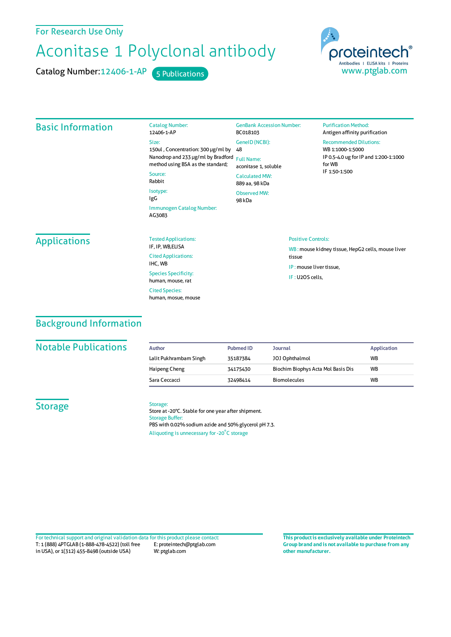For Research Use Only

# Aconitase 1 Polyclonal antibody

Catalog Number: 12406-1-AP 5 Publications

proteintech Antibodies | ELISA kits | Proteins www.ptglab.com

| <b>Basic Information</b> | <b>Catalog Number:</b><br>12406-1-AP                                                                                                                                                                  | <b>GenBank Accession Number:</b><br>BC018103 | <b>Purification Method:</b><br>Antigen affinity purification                                                                           |  |
|--------------------------|-------------------------------------------------------------------------------------------------------------------------------------------------------------------------------------------------------|----------------------------------------------|----------------------------------------------------------------------------------------------------------------------------------------|--|
|                          | Size:<br>150ul, Concentration: 300 µg/ml by<br>Nanodrop and 233 µg/ml by Bradford<br>method using BSA as the standard;<br>Source:<br>Rabbit<br>Isotype:<br>IgG<br>Immunogen Catalog Number:<br>AG3083 | GeneID (NCBI):<br>48                         | <b>Recommended Dilutions:</b><br>WB 1:1000-1:5000<br>IP 0.5-4.0 ug for IP and 1:200-1:1000<br>for WB<br>IF 1:50-1:500                  |  |
|                          |                                                                                                                                                                                                       | <b>Full Name:</b><br>aconitase 1, soluble    |                                                                                                                                        |  |
|                          |                                                                                                                                                                                                       | <b>Calculated MW:</b><br>889 aa, 98 kDa      |                                                                                                                                        |  |
|                          |                                                                                                                                                                                                       | <b>Observed MW:</b><br>98 kDa                |                                                                                                                                        |  |
|                          |                                                                                                                                                                                                       |                                              |                                                                                                                                        |  |
| <b>Applications</b>      | <b>Tested Applications:</b><br>IF, IP, WB, ELISA                                                                                                                                                      |                                              | <b>Positive Controls:</b><br>WB: mouse kidney tissue, HepG2 cells, mouse liver<br>tissue<br>IP: mouse liver tissue,<br>IF: U2OS cells, |  |
|                          | <b>Cited Applications:</b>                                                                                                                                                                            |                                              |                                                                                                                                        |  |
|                          | IHC, WB                                                                                                                                                                                               |                                              |                                                                                                                                        |  |
|                          | <b>Species Specificity:</b><br>human, mouse, rat                                                                                                                                                      |                                              |                                                                                                                                        |  |
|                          | <b>Cited Species:</b><br>human, mosue, mouse                                                                                                                                                          |                                              |                                                                                                                                        |  |

## Background Information

#### **Notable Publications**

| Author                 | <b>Pubmed ID</b> | <b>Journal</b>                     | <b>Application</b> |
|------------------------|------------------|------------------------------------|--------------------|
| Lalit Pukhrambam Singh | 35187384         | JOJ Ophthalmol                     | <b>WB</b>          |
| Haipeng Cheng          | 34175430         | Biochim Biophys Acta Mol Basis Dis | <b>WB</b>          |
| Sara Ceccacci          | 32498414         | <b>Biomolecules</b>                | <b>WB</b>          |

## **Storage**

#### Storage:

Store at -20°C. Stable for one year after shipment. Storage Buffer: PBS with 0.02% sodium azide and 50% glycerol pH 7.3. Aliquoting is unnecessary for -20<sup>°</sup>C storage

T: 1 (888) 4PTGLAB (1-888-478-4522) (toll free in USA), or 1(312) 455-8498 (outside USA) E: proteintech@ptglab.com W: ptglab.com Fortechnical support and original validation data forthis product please contact: **This productis exclusively available under Proteintech**

**Group brand and is not available to purchase from any other manufacturer.**